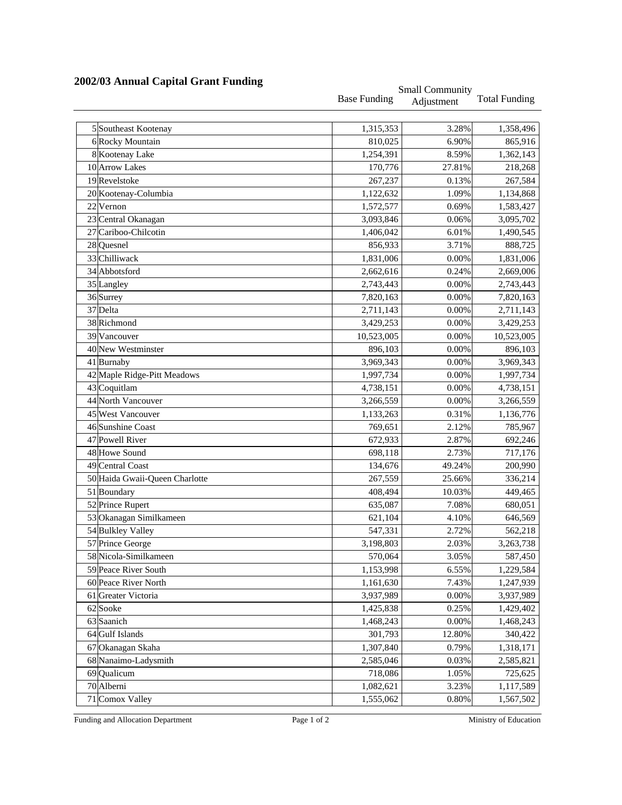|                                |                     | <b>Small Community</b> |                      |  |
|--------------------------------|---------------------|------------------------|----------------------|--|
|                                | <b>Base Funding</b> | Adjustment             | <b>Total Funding</b> |  |
| 5 Southeast Kootenay           | 1,315,353           | 3.28%                  | 1,358,496            |  |
| 6 Rocky Mountain               | 810,025             | 6.90%                  | 865,916              |  |
| 8 Kootenay Lake                | 1,254,391           | 8.59%                  | 1,362,143            |  |
| 10 Arrow Lakes                 | 170,776             | 27.81%                 | 218,268              |  |
| 19 Revelstoke                  | 267,237             | 0.13%                  | 267,584              |  |
| 20 Kootenay-Columbia           | 1,122,632           | 1.09%                  | 1,134,868            |  |
| 22 Vernon                      | 1,572,577           | 0.69%                  | 1,583,427            |  |
| 23 Central Okanagan            | 3,093,846           | 0.06%                  | 3,095,702            |  |
| 27 Cariboo-Chilcotin           | 1,406,042           | 6.01%                  | 1,490,545            |  |
| 28 Quesnel                     |                     | 3.71%                  |                      |  |
| 33 Chilliwack                  | 856,933             |                        | 888,725              |  |
|                                | 1,831,006           | 0.00%                  | 1,831,006            |  |
| 34 Abbotsford                  | 2,662,616           | 0.24%                  | 2,669,006            |  |
| 35 Langley                     | 2,743,443           | 0.00%                  | 2,743,443            |  |
| 36 Surrey                      | 7,820,163           | 0.00%                  | 7,820,163            |  |
| 37 Delta                       | 2,711,143           | 0.00%                  | 2,711,143            |  |
| 38 Richmond                    | 3,429,253           | 0.00%                  | 3,429,253            |  |
| 39 Vancouver                   | 10,523,005          | 0.00%                  | 10,523,005           |  |
| 40 New Westminster             | 896,103             | 0.00%                  | 896,103              |  |
| 41 Burnaby                     | 3,969,343           | 0.00%                  | 3,969,343            |  |
| 42 Maple Ridge-Pitt Meadows    | 1,997,734           | 0.00%                  | 1,997,734            |  |
| 43 Coquitlam                   | 4,738,151           | 0.00%                  | 4,738,151            |  |
| 44 North Vancouver             | 3,266,559           | 0.00%                  | 3,266,559            |  |
| 45 West Vancouver              | 1,133,263           | 0.31%                  | 1,136,776            |  |
| 46 Sunshine Coast              | 769,651             | 2.12%                  | 785,967              |  |
| 47 Powell River                | 672,933             | 2.87%                  | 692,246              |  |
| 48 Howe Sound                  | 698,118             | 2.73%                  | 717,176              |  |
| 49 Central Coast               | 134,676             | 49.24%                 | 200,990              |  |
| 50 Haida Gwaii-Queen Charlotte | 267,559             | 25.66%                 | 336,214              |  |
| 51 Boundary                    | 408,494             | 10.03%                 | 449,465              |  |
| 52 Prince Rupert               | 635,087             | 7.08%                  | 680,051              |  |
| 53 Okanagan Similkameen        | 621,104             | 4.10%                  | 646,569              |  |
| 54 Bulkley Valley              | 547,331             | 2.72%                  | 562,218              |  |
| 57 Prince George               | 3,198,803           | 2.03%                  | 3,263,738            |  |
| 58 Nicola-Similkameen          | 570,064             | 3.05%                  | 587,450              |  |
| 59 Peace River South           | 1,153,998           | 6.55%                  | 1,229,584            |  |
| 60 Peace River North           | 1,161,630           | 7.43%                  | 1,247,939            |  |
| 61 Greater Victoria            | 3,937,989           | 0.00%                  | 3,937,989            |  |
| 62 Sooke                       | 1,425,838           | 0.25%                  | 1,429,402            |  |
| 63 Saanich                     | 1,468,243           | 0.00%                  | 1,468,243            |  |
| 64 Gulf Islands                | 301,793             | 12.80%                 | 340,422              |  |
| 67 Okanagan Skaha              | 1,307,840           | 0.79%                  | 1,318,171            |  |
| 68 Nanaimo-Ladysmith           | 2,585,046           | 0.03%                  | 2,585,821            |  |
| 69 Qualicum                    | 718,086             | 1.05%                  | 725,625              |  |
| 70 Alberni                     | 1,082,621           | 3.23%                  | 1,117,589            |  |
| 71 Comox Valley                | 1,555,062           | 0.80%                  | 1,567,502            |  |

## **2002/03 Annual Capital Grant Funding**

Funding and Allocation Department Page 1 of 2 Ministry of Education